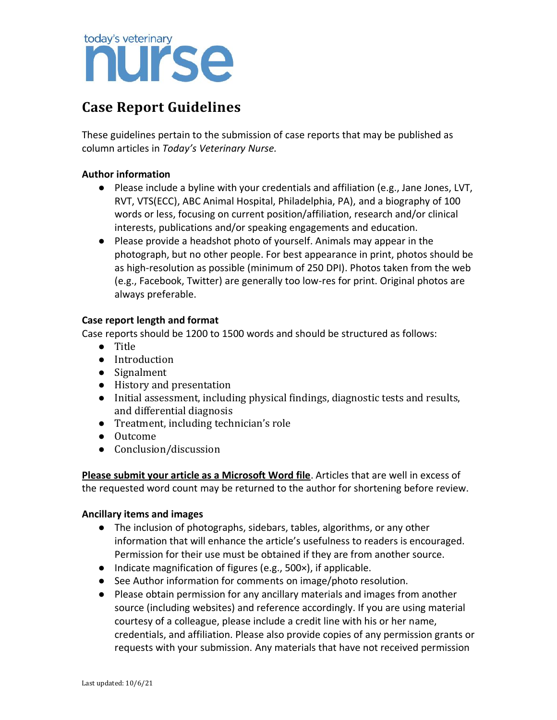## today's veterinary **nurse**

### **Case Report Guidelines**

These guidelines pertain to the submission of case reports that may be published as column articles in *Today's Veterinary Nurse.*

#### **Author information**

- Please include a byline with your credentials and affiliation (e.g., Jane Jones, LVT, RVT, VTS(ECC), ABC Animal Hospital, Philadelphia, PA), and a biography of 100 words or less, focusing on current position/affiliation, research and/or clinical interests, publications and/or speaking engagements and education.
- Please provide a headshot photo of yourself. Animals may appear in the photograph, but no other people. For best appearance in print, photos should be as high-resolution as possible (minimum of 250 DPI). Photos taken from the web (e.g., Facebook, Twitter) are generally too low-res for print. Original photos are always preferable.

#### **Case report length and format**

Case reports should be 1200 to 1500 words and should be structured as follows:

- Title
- Introduction
- Signalment
- History and presentation
- Initial assessment, including physical findings, diagnostic tests and results, and differential diagnosis
- Treatment, including technician's role
- Outcome
- Conclusion/discussion

**Please submit your article as a Microsoft Word file**. Articles that are well in excess of the requested word count may be returned to the author for shortening before review.

#### **Ancillary items and images**

- The inclusion of photographs, sidebars, tables, algorithms, or any other information that will enhance the article's usefulness to readers is encouraged. Permission for their use must be obtained if they are from another source.
- Indicate magnification of figures (e.g., 500×), if applicable.
- See Author information for comments on image/photo resolution.
- Please obtain permission for any ancillary materials and images from another source (including websites) and reference accordingly. If you are using material courtesy of a colleague, please include a credit line with his or her name, credentials, and affiliation. Please also provide copies of any permission grants or requests with your submission. Any materials that have not received permission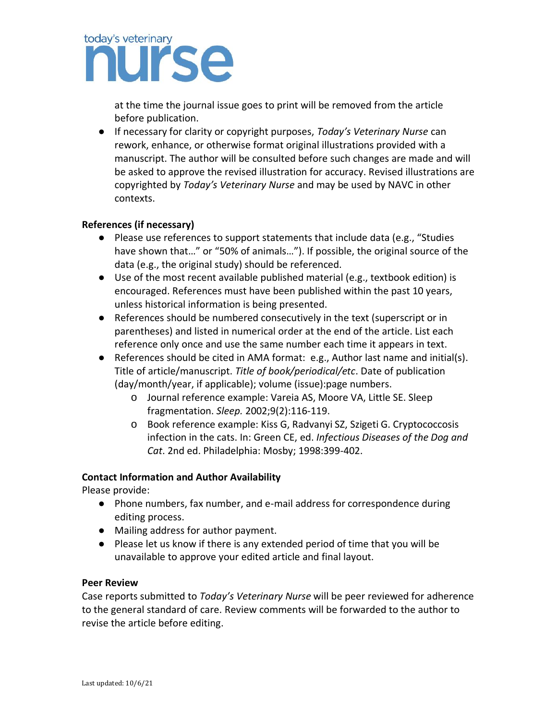## today's veterinary nurse

at the time the journal issue goes to print will be removed from the article before publication.

● If necessary for clarity or copyright purposes, *Today's Veterinary Nurse* can rework, enhance, or otherwise format original illustrations provided with a manuscript. The author will be consulted before such changes are made and will be asked to approve the revised illustration for accuracy. Revised illustrations are copyrighted by *Today's Veterinary Nurse* and may be used by NAVC in other contexts.

#### **References (if necessary)**

- Please use references to support statements that include data (e.g., "Studies have shown that…" or "50% of animals…"). If possible, the original source of the data (e.g., the original study) should be referenced.
- Use of the most recent available published material (e.g., textbook edition) is encouraged. References must have been published within the past 10 years, unless historical information is being presented.
- References should be numbered consecutively in the text (superscript or in parentheses) and listed in numerical order at the end of the article. List each reference only once and use the same number each time it appears in text.
- $\bullet$  References should be cited in AMA format: e.g., Author last name and initial(s). Title of article/manuscript. *Title of book/periodical/etc*. Date of publication (day/month/year, if applicable); volume (issue):page numbers.
	- o Journal reference example: Vareia AS, Moore VA, Little SE. Sleep fragmentation. *Sleep.* 2002;9(2):116-119.
	- o Book reference example: Kiss G, Radvanyi SZ, Szigeti G. Cryptococcosis infection in the cats. In: Green CE, ed. *Infectious Diseases of the Dog and Cat*. 2nd ed. Philadelphia: Mosby; 1998:399-402.

#### **Contact Information and Author Availability**

Please provide:

- Phone numbers, fax number, and e-mail address for correspondence during editing process.
- Mailing address for author payment.
- Please let us know if there is any extended period of time that you will be unavailable to approve your edited article and final layout.

#### **Peer Review**

Case reports submitted to *Today's Veterinary Nurse* will be peer reviewed for adherence to the general standard of care. Review comments will be forwarded to the author to revise the article before editing.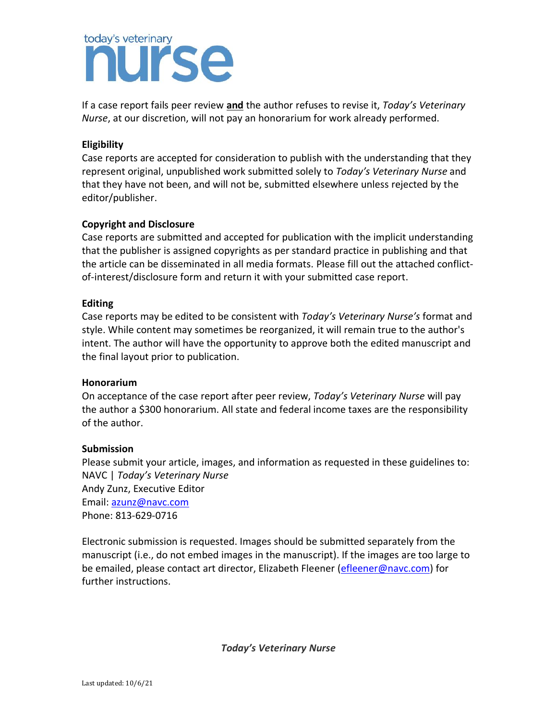## today's veterinary nurse

If a case report fails peer review **and** the author refuses to revise it, *Today's Veterinary Nurse*, at our discretion, will not pay an honorarium for work already performed.

#### **Eligibility**

Case reports are accepted for consideration to publish with the understanding that they represent original, unpublished work submitted solely to *Today's Veterinary Nurse* and that they have not been, and will not be, submitted elsewhere unless rejected by the editor/publisher.

#### **Copyright and Disclosure**

Case reports are submitted and accepted for publication with the implicit understanding that the publisher is assigned copyrights as per standard practice in publishing and that the article can be disseminated in all media formats. Please fill out the attached conflictof-interest/disclosure form and return it with your submitted case report.

#### **Editing**

Case reports may be edited to be consistent with *Today's Veterinary Nurse's* format and style. While content may sometimes be reorganized, it will remain true to the author's intent. The author will have the opportunity to approve both the edited manuscript and the final layout prior to publication.

#### **Honorarium**

On acceptance of the case report after peer review, *Today's Veterinary Nurse* will pay the author a \$300 honorarium. All state and federal income taxes are the responsibility of the author.

#### **Submission**

Please submit your article, images, and information as requested in these guidelines to: NAVC | *Today's Veterinary Nurse* Andy Zunz, Executive Editor Email: [azunz@navc.com](mailto:azunz@navc.com) Phone: 813-629-0716

Electronic submission is requested. Images should be submitted separately from the manuscript (i.e., do not embed images in the manuscript). If the images are too large to be emailed, please contact art director, Elizabeth Fleener [\(efleener@navc.com\)](mailto:efleener@navc.com) for further instructions.

*Today's Veterinary Nurse*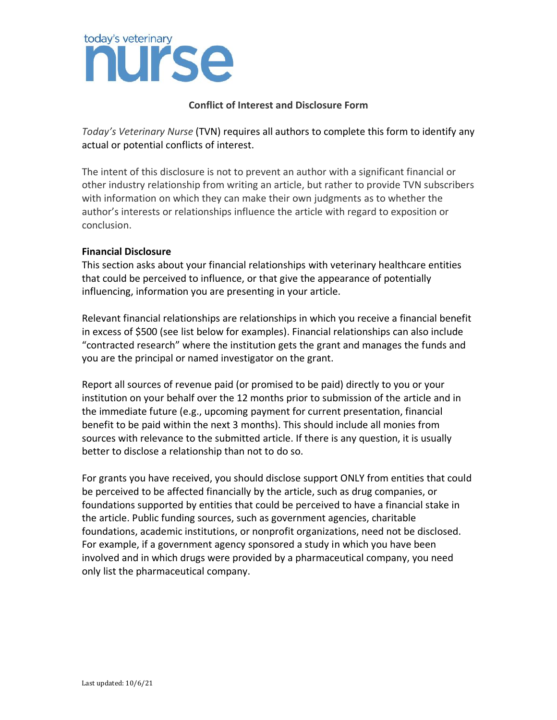

#### **Conflict of Interest and Disclosure Form**

*Today's Veterinary Nurse* (TVN) requires all authors to complete this form to identify any actual or potential conflicts of interest.

The intent of this disclosure is not to prevent an author with a significant financial or other industry relationship from writing an article, but rather to provide TVN subscribers with information on which they can make their own judgments as to whether the author's interests or relationships influence the article with regard to exposition or conclusion.

#### **Financial Disclosure**

This section asks about your financial relationships with veterinary healthcare entities that could be perceived to influence, or that give the appearance of potentially influencing, information you are presenting in your article.

Relevant financial relationships are relationships in which you receive a financial benefit in excess of \$500 (see list below for examples). Financial relationships can also include "contracted research" where the institution gets the grant and manages the funds and you are the principal or named investigator on the grant.

Report all sources of revenue paid (or promised to be paid) directly to you or your institution on your behalf over the 12 months prior to submission of the article and in the immediate future (e.g., upcoming payment for current presentation, financial benefit to be paid within the next 3 months). This should include all monies from sources with relevance to the submitted article. If there is any question, it is usually better to disclose a relationship than not to do so.

For grants you have received, you should disclose support ONLY from entities that could be perceived to be affected financially by the article, such as drug companies, or foundations supported by entities that could be perceived to have a financial stake in the article. Public funding sources, such as government agencies, charitable foundations, academic institutions, or nonprofit organizations, need not be disclosed. For example, if a government agency sponsored a study in which you have been involved and in which drugs were provided by a pharmaceutical company, you need only list the pharmaceutical company.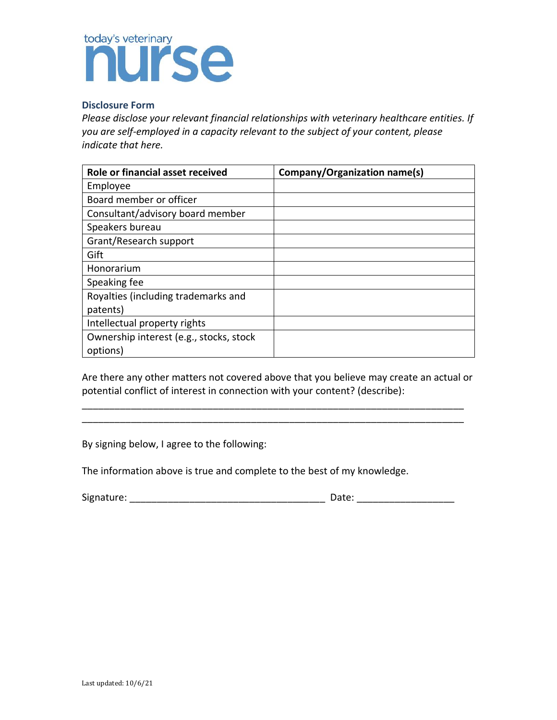# 

#### **Disclosure Form**

*Please disclose your relevant financial relationships with veterinary healthcare entities. If you are self-employed in a capacity relevant to the subject of your content, please indicate that here.*

| Role or financial asset received        | Company/Organization name(s) |
|-----------------------------------------|------------------------------|
| Employee                                |                              |
| Board member or officer                 |                              |
| Consultant/advisory board member        |                              |
| Speakers bureau                         |                              |
| Grant/Research support                  |                              |
| Gift                                    |                              |
| Honorarium                              |                              |
| Speaking fee                            |                              |
| Royalties (including trademarks and     |                              |
| patents)                                |                              |
| Intellectual property rights            |                              |
| Ownership interest (e.g., stocks, stock |                              |
| options)                                |                              |

Are there any other matters not covered above that you believe may create an actual or potential conflict of interest in connection with your content? (describe):

\_\_\_\_\_\_\_\_\_\_\_\_\_\_\_\_\_\_\_\_\_\_\_\_\_\_\_\_\_\_\_\_\_\_\_\_\_\_\_\_\_\_\_\_\_\_\_\_\_\_\_\_\_\_\_\_\_\_\_\_\_\_\_\_\_\_\_\_\_\_ \_\_\_\_\_\_\_\_\_\_\_\_\_\_\_\_\_\_\_\_\_\_\_\_\_\_\_\_\_\_\_\_\_\_\_\_\_\_\_\_\_\_\_\_\_\_\_\_\_\_\_\_\_\_\_\_\_\_\_\_\_\_\_\_\_\_\_\_\_\_

By signing below, I agree to the following:

The information above is true and complete to the best of my knowledge.

Signature: \_\_\_\_\_\_\_\_\_\_\_\_\_\_\_\_\_\_\_\_\_\_\_\_\_\_\_\_\_\_\_\_\_\_\_\_ Date: \_\_\_\_\_\_\_\_\_\_\_\_\_\_\_\_\_\_